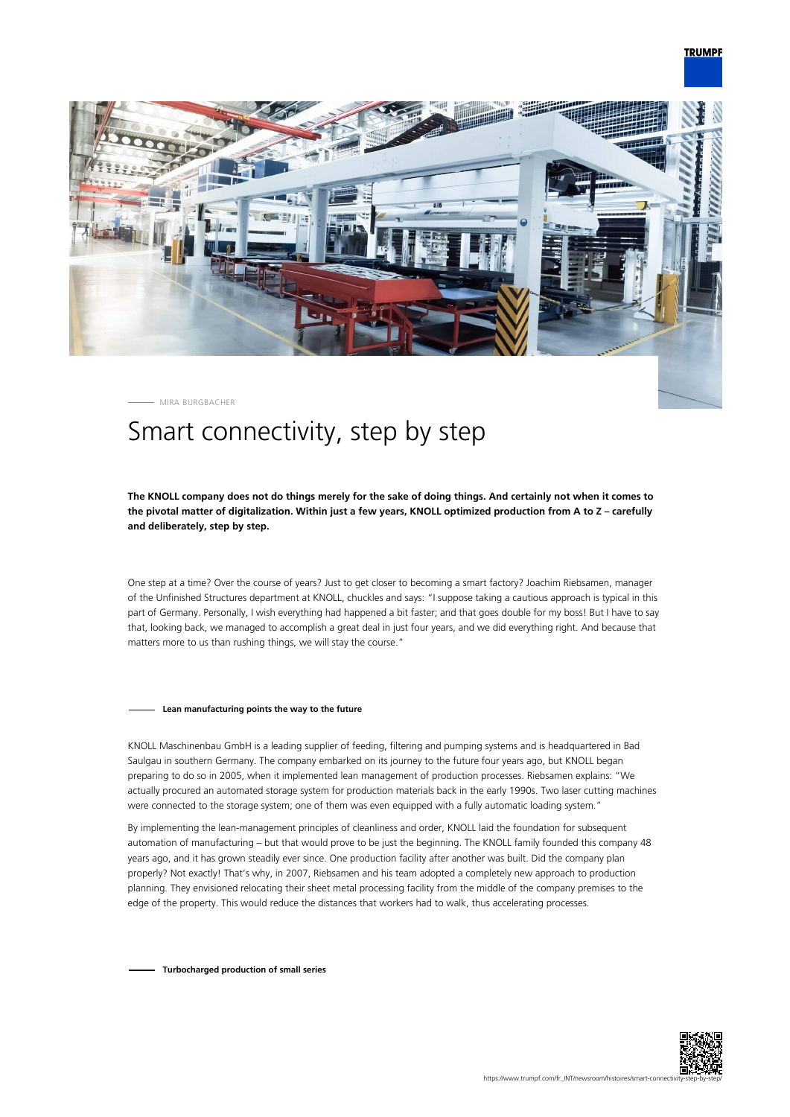

MIRA BURGBACHER

# Smart connectivity, step by step

# **The KNOLL company does not do things merely for the sake of doing things. And certainly not when it comes to the pivotal matter of digitalization. Within just a few years, KNOLL optimized production from A to Z – carefully and deliberately, step by step.**

One step at a time? Over the course of years? Just to get closer to becoming a smart factory? Joachim Riebsamen, manager of the Unfinished Structures department at KNOLL, chuckles and says: "I suppose taking a cautious approach is typical in this part of Germany. Personally, I wish everything had happened a bit faster; and that goes double for my boss! But I have to say that, looking back, we managed to accomplish a great deal in just four years, and we did everything right. And because that matters more to us than rushing things, we will stay the course."

#### **Lean manufacturing points the way to the future**

KNOLL Maschinenbau GmbH is a leading supplier of feeding, filtering and pumping systems and is headquartered in Bad Saulgau in southern Germany. The company embarked on its journey to the future four years ago, but KNOLL began preparing to do so in 2005, when it implemented lean management of production processes. Riebsamen explains: "We actually procured an automated storage system for production materials back in the early 1990s. Two laser cutting machines were connected to the storage system; one of them was even equipped with a fully automatic loading system."

By implementing the lean-management principles of cleanliness and order, KNOLL laid the foundation for subsequent automation of manufacturing – but that would prove to be just the beginning. The KNOLL family founded this company 48 years ago, and it has grown steadily ever since. One production facility after another was built. Did the company plan properly? Not exactly! That's why, in 2007, Riebsamen and his team adopted a completely new approach to production planning. They envisioned relocating their sheet metal processing facility from the middle of the company premises to the edge of the property. This would reduce the distances that workers had to walk, thus accelerating processes.

**Turbocharged production of small series**

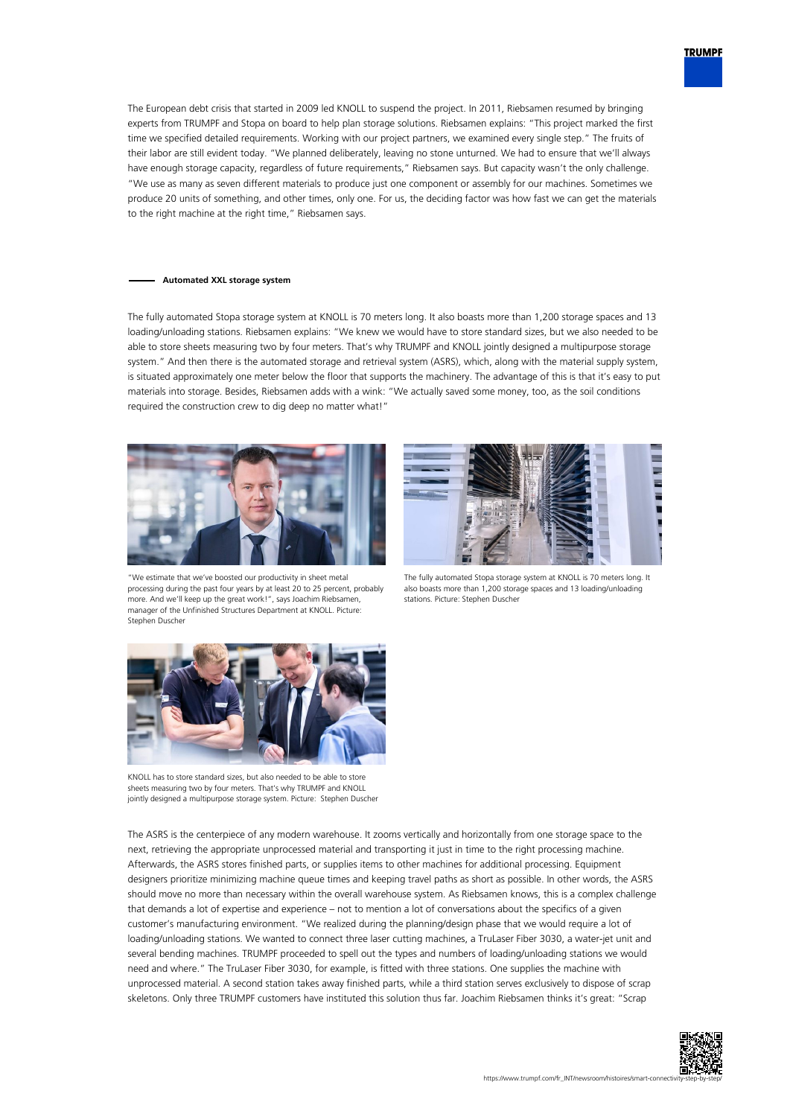

The European debt crisis that started in 2009 led KNOLL to suspend the project. In 2011, Riebsamen resumed by bringing experts from TRUMPF and Stopa on board to help plan storage solutions. Riebsamen explains: "This project marked the first time we specified detailed requirements. Working with our project partners, we examined every single step." The fruits of their labor are still evident today. "We planned deliberately, leaving no stone unturned. We had to ensure that we'll always have enough storage capacity, regardless of future requirements," Riebsamen says. But capacity wasn't the only challenge. "We use as many as seven different materials to produce just one component or assembly for our machines. Sometimes we produce 20 units of something, and other times, only one. For us, the deciding factor was how fast we can get the materials to the right machine at the right time," Riebsamen says.

### **Automated XXL storage system**

The fully automated Stopa storage system at KNOLL is 70 meters long. It also boasts more than 1,200 storage spaces and 13 loading/unloading stations. Riebsamen explains: "We knew we would have to store standard sizes, but we also needed to be able to store sheets measuring two by four meters. That's why TRUMPF and KNOLL jointly designed a multipurpose storage system." And then there is the automated storage and retrieval system (ASRS), which, along with the material supply system, is situated approximately one meter below the floor that supports the machinery. The advantage of this is that it's easy to put materials into storage. Besides, Riebsamen adds with a wink: "We actually saved some money, too, as the soil conditions required the construction crew to dig deep no matter what!"



"We estimate that we've boosted our productivity in sheet metal processing during the past four years by at least 20 to 25 percent, probably more. And we'll keep up the great work!", says Joachim Riebsamen, manager of the Unfinished Structures Department at KNOLL. Picture: Stephen Duscher



The fully automated Stopa storage system at KNOLL is 70 meters long. It also boasts more than 1,200 storage spaces and 13 loading/unloading stations. Picture: Stephen Duscher



KNOLL has to store standard sizes, but also needed to be able to store sheets measuring two by four meters. That's why TRUMPF and KNOLL jointly designed a multipurpose storage system. Picture: Stephen Duscher

The ASRS is the centerpiece of any modern warehouse. It zooms vertically and horizontally from one storage space to the next, retrieving the appropriate unprocessed material and transporting it just in time to the right processing machine. Afterwards, the ASRS stores finished parts, or supplies items to other machines for additional processing. Equipment designers prioritize minimizing machine queue times and keeping travel paths as short as possible. In other words, the ASRS should move no more than necessary within the overall warehouse system. As Riebsamen knows, this is a complex challenge that demands a lot of expertise and experience – not to mention a lot of conversations about the specifics of a given customer's manufacturing environment. "We realized during the planning/design phase that we would require a lot of loading/unloading stations. We wanted to connect three laser cutting machines, a TruLaser Fiber 3030, a water-jet unit and several bending machines. TRUMPF proceeded to spell out the types and numbers of loading/unloading stations we would need and where." The TruLaser Fiber 3030, for example, is fitted with three stations. One supplies the machine with unprocessed material. A second station takes away finished parts, while a third station serves exclusively to dispose of scrap skeletons. Only three TRUMPF customers have instituted this solution thus far. Joachim Riebsamen thinks it's great: "Scrap

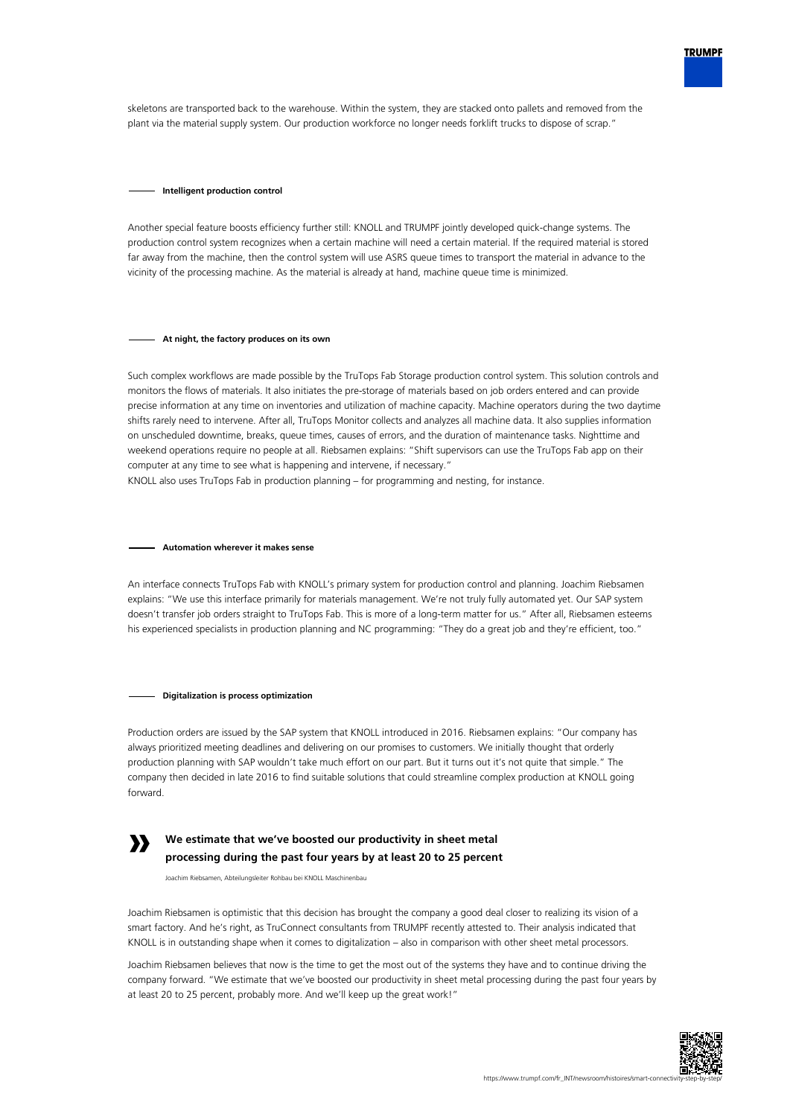

skeletons are transported back to the warehouse. Within the system, they are stacked onto pallets and removed from the plant via the material supply system. Our production workforce no longer needs forklift trucks to dispose of scrap."

#### **Intelligent production control**

Another special feature boosts efficiency further still: KNOLL and TRUMPF jointly developed quick-change systems. The production control system recognizes when a certain machine will need a certain material. If the required material is stored far away from the machine, then the control system will use ASRS queue times to transport the material in advance to the vicinity of the processing machine. As the material is already at hand, machine queue time is minimized.

## **At night, the factory produces on its own**

Such complex workflows are made possible by the TruTops Fab Storage production control system. This solution controls and monitors the flows of materials. It also initiates the pre-storage of materials based on job orders entered and can provide precise information at any time on inventories and utilization of machine capacity. Machine operators during the two daytime shifts rarely need to intervene. After all, TruTops Monitor collects and analyzes all machine data. It also supplies information on unscheduled downtime, breaks, queue times, causes of errors, and the duration of maintenance tasks. Nighttime and weekend operations require no people at all. Riebsamen explains: "Shift supervisors can use the TruTops Fab app on their computer at any time to see what is happening and intervene, if necessary."

KNOLL also uses TruTops Fab in production planning – for programming and nesting, for instance.

## **Automation wherever it makes sense**

An interface connects TruTops Fab with KNOLL's primary system for production control and planning. Joachim Riebsamen explains: "We use this interface primarily for materials management. We're not truly fully automated yet. Our SAP system doesn't transfer job orders straight to TruTops Fab. This is more of a long-term matter for us." After all, Riebsamen esteems his experienced specialists in production planning and NC programming: "They do a great job and they're efficient, too."

#### **Digitalization is process optimization**

Production orders are issued by the SAP system that KNOLL introduced in 2016. Riebsamen explains: "Our company has always prioritized meeting deadlines and delivering on our promises to customers. We initially thought that orderly production planning with SAP wouldn't take much effort on our part. But it turns out it's not quite that simple." The company then decided in late 2016 to find suitable solutions that could streamline complex production at KNOLL going forward.



# **We estimate that we've boosted our productivity in sheet metal processing during the past four years by at least 20 to 25 percent**

Joachim Riebsamen, Abteilungsleiter Rohbau bei KNOLL Maschinenbau

Joachim Riebsamen is optimistic that this decision has brought the company a good deal closer to realizing its vision of a smart factory. And he's right, as TruConnect consultants from TRUMPF recently attested to. Their analysis indicated that KNOLL is in outstanding shape when it comes to digitalization – also in comparison with other sheet metal processors.

Joachim Riebsamen believes that now is the time to get the most out of the systems they have and to continue driving the company forward. "We estimate that we've boosted our productivity in sheet metal processing during the past four years by at least 20 to 25 percent, probably more. And we'll keep up the great work!"